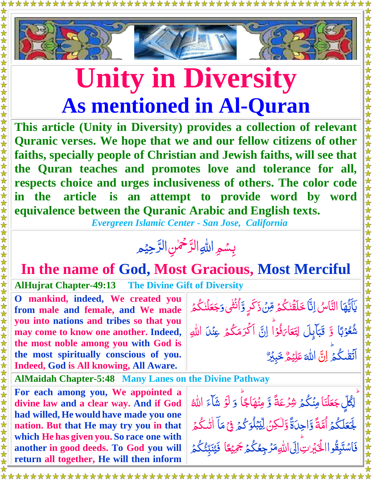

## **Unity in Diversity As mentioned in Al-Quran**

**This article (Unity in Diversity) provides a collection of relevant Quranic verses. We hope that we and our fellow citizens of other faiths, specially people of Christian and Jewish faiths, will see that the Quran teaches and promotes love and tolerance for all, respects choice and urges inclusiveness of others. The color code in the article is an attempt to provide word by word equivalence between the Quranic Arabic and English texts.**

 *Evergreen Islamic Center - San Jose, California*

## بِسُمِ اللهِ الرَّحْمٰنِ الرَّحِيْمِ  $\tilde{a}$ ڒ ں<br>پ ڒ

## **In the name of God, Most Gracious, Most Merciful**

**AlHujrat Chapter-49:13 The Divine Gift of Diversity**

\*\*\*\*\*\*\*

**O mankind, indeed, We created you from male and female, and We made you into nations and tribes so that you may come to know one another. Indeed, the most noble among you with God is the most spiritually conscious of you. Indeed, God is All knowing, All Aware.** 

**AlMaidah Chapter-5:48 Many Lanes on the Divine Pathway**

**For each among you, We appointed a divine law and a clear way. And if God had willed, He would have made you one nation. But that He may try you in that which He has given you. So race one with another in good deeds. To God you will return all together, He will then inform** 

يَاَيُّهَا التَّاسُ اِنَّا خَلَقَٰنكُمۡ مِّنۡ ذَكَرٍ وَّاُنۡثَٰى وَ ُمَا<br>ُمُعَا  $\frac{1}{2}$ ٰ ڋ  $\ddot{\phantom{0}}$ ۔<br>ا ٰ Ž Ï ٰ ا باندا<br>نام **وَجَعَلْنَكْ**مُ ۔<br>ا ٰ **جَعَلَّنْكُم**ُ شُعُوۡبَا<sub>ٗ</sub> وَّ قَبَاۡبِلَ ب <u>أ</u> <u>ُ</u> لاً<br>ما ق<br>ا ڔ بِ<br>ب ِ<br>په قَبَايِلَ لِتَعَارَفُوْا <u>أ</u> نُو<br>ف <u>ل</u><br>ك ار <u>َّ</u> لِتَعَا<sub>َكَ</sub>فُوْاً اِنَّ اَكْرَمَكُمُ  $\ddot{\cdot}$ ا ر<br>گ اَكْرَمَكْمُ عِن<sub>َ</sub>لاَ اللهِ ا ہ<br>گ اَتَقْكُمۡ اِنَّ ٰ Ï اللَّٰہَ  $\tilde{\mathcal{S}}$ م ي ِ ل َّ ع رَ<br>پ خَبِيْرٌ

ؖ<br>لِگُلِّ جَعَلْنَا ڲ<br>ڋ جَعَلْنَا مِنْكُمۡ شِرۡعَةً وَّ مِنۡهَاجًاۗ ۔<br>ا Ï ن<br>مُ َّ و َّو ل <u>أ</u> شَآءَ الل<mark></mark>ّٰه <u>مُ</u> ہ<br>گ لَّ ُّكم َّ لَجَعَلَكُمُ أُمَّةً وَّاحِدَةً وَّلٰكِنَّ لِيِّبُلُوَكُمُ  $\ddot{\hat{\bm{\lambda}}}$ ا ľ  $\tilde{\cdot}$ ا<br>ـ ٰ ل į ۔<br>ا بمكو  $\mu$ ِ<br>پُ ِ<br>پا لِّيۡبَٰلُوَ كُمۡ فِیۡ مَآ ׇ֡֞֓׆<br>֧֢֢֧֢֞ ۡ م<br>م مَا اٰتٰىكُمۡ ۖ ر<br>گ ٰ فَاسْتَبِقُواالْخَيْرِينِ إِلَى اللّهِمَرُ جِعُكُمْ جَمِيْعًا م<br>م Ĩ ٰ ا<br>ا ۔<br>گ <u>ُ</u> ر<br>لا ً<br>د جَ*مِ*يْعًا فَيُنَبِّئُكُم*ُ* یکا<br>نا ع<br>م تار<br>د ان<br>ا َّي ۔<br>ا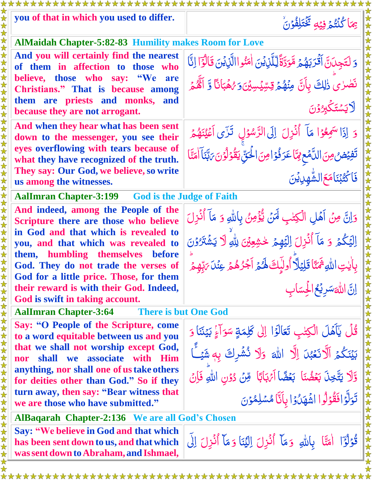| you of that in which you used to differ.                                                                                            | بِهَا كُنْتُمُ فِيْهِ تَخْتَلِفُوْنُ                                                  |  |
|-------------------------------------------------------------------------------------------------------------------------------------|---------------------------------------------------------------------------------------|--|
| <b>AlMaidah Chapter-5:82-83 Humility makes Room for Love</b>                                                                        |                                                                                       |  |
| And you will certainly find the nearest                                                                                             | وَ لَتَجِدَنَّ أَقْرَبَهُمُ مَّوَدَّةً لِّلَّذِينَ اٰمَنُواالَّذِينَ قَالُوًٓا إِنَّا |  |
| of them in affection to those who                                                                                                   |                                                                                       |  |
| believe, those who say: "We<br>are<br>Christians." That is because among                                                            | نَصْرٰىٌ ذٰلِكَ بِأَنَّ مِنْهُمۡ قِسِّيۡسِيۡنَ}َ رُهُمۡبَانَاۚ وَّ أَنَّهُمۡ          |  |
| them are priests and monks, and                                                                                                     |                                                                                       |  |
| because they are not arrogant.                                                                                                      | <u> لايىستىگىردۇن</u>                                                                 |  |
| And when they hear what has been sent<br>down to the messenger, you see their                                                       | وَ إِذَا سَمِعُوْا مَآ أَنُزِلَ إِلَى الرَّسُوۡلِ ۚ تَزَى أَعۡيُنَهُمۡ ۚ              |  |
| eyes overflowing with tears because of<br>what they have recognized of the truth.                                                   | تَفِيۡضُ مِنَ اللَّمۡعِ مِمَّا عَرَ فُوۡ امِنَ الۡحَقِّ يَقُوۡلُوۡنَ رَبَّنَآ امَنَّا |  |
| They say: Our God, we believe, so write<br>us among the witnesses.                                                                  | <u>فَ</u> اڭِيْبْنَامَعَ لشَّهدِيْنَ                                                  |  |
| <b>AalImran Chapter-3:199</b> God is the Judge of Faith                                                                             |                                                                                       |  |
| And indeed, among the People of the                                                                                                 | وَانَّ مِنۡ أَهۡلِ الۡكِتٰبِ لَهَنۡ يُّؤۡمِنُ بِٱللَّهِ وَ مَآ أُنۡزِلَ               |  |
| Scripture there are those who believe<br>in God and that which is revealed to                                                       |                                                                                       |  |
| you, and that which was revealed to                                                                                                 | اِلْيَكُمْ وَ مَآ أُنۡزِلَ اِلۡيَهِمۡ لِحُشِعِيۡنَ لِلَّهِ لَا يَشۡنَرُوۡنَ           |  |
| them, humbling themselves<br><b>before</b>                                                                                          | بِأَيْتِ اللَّهِ ثَمَنًا قَلِيۡلَآ أُولَٰٓىِكَ لَهُمۡ آَجُرُهُمۡ عِنۡلَى مَٰٓهُمۡ     |  |
| God. They do not trade the verses of<br>God for a little price. Those, for them                                                     | 22                                                                                    |  |
| their reward is with their God. Indeed,                                                                                             | إنَّ اللَّهَسَرِيْحُ الْحِسَابِ                                                       |  |
| God is swift in taking account.                                                                                                     |                                                                                       |  |
| <b>There is but One God</b><br><b>AalImran Chapter-3:64</b>                                                                         |                                                                                       |  |
| Say: "O People of the Scripture, come<br>to a word equitable between us and you                                                     | قُلْ يَآهَلَ الْكِتْبِ تَعَالَوْا إِلَى كَلِمَةٍ سَوَاءٍ بَيْنَنَا وَ                 |  |
| that we shall not worship except God,<br>shall we associate with Him<br>nor                                                         | بَيْنَكُمُ اَلَّانَعۡبُنَ اِلَّا اللَّهَ ۚ وَلَا نُشۡوِكَ بِهٖشَيۡـَأَ                |  |
| anything, nor shall one of us take others                                                                                           |                                                                                       |  |
| for deities other than God." So if they                                                                                             | وَّلَا يَتَّخِذَ بَعُضُنَا بَعُضًا آَيْهَائًا وِّنْ دُوْنِ اللهِ فَإِنْ               |  |
| turn away, then say: "Bear witness that<br>we are those who have submitted."                                                        | تَوَلَّوۡافَقُوۡلُوا اشَّهَلُوۡا بِاَنَّا مُسۡلِمُوۡنَ                                |  |
| <b>AlBaqarah Chapter-2:136 We are all God's Chosen</b>                                                                              |                                                                                       |  |
| <b>Say: "We believe in God and that which</b><br>has been sent down to us, and that which<br>was sent down to Abraham, and Ishmael, | قُوْلُوَّا أَمَنَّا بِاللَّهِ وَمَآ أُنُزِلَ إِلَيْنَا وَمَآ أُنُزِلَ إِلَى           |  |
|                                                                                                                                     |                                                                                       |  |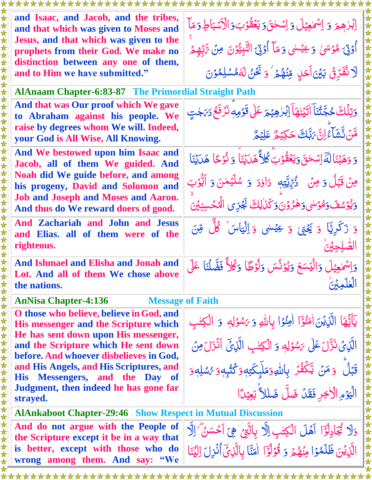| and Isaac, and Jacob, and the tribes,<br>and that which was given to Moses and<br>Jesus, and that which was given to the                                  | إِبْرٰهِمَ وَ إِسْمَعِيْلَ وَإِسْحٰقَ5ِيَعُقُوْبَ5ِالْأَسْبَاطِ5ِمَا<br>أُوْتِيَ هُوۡسَىٰ وَعِيۡسٰى وَمَآ أُوۡتِيَ النَّبِيُّوۡنَ مِنۡ تَٰٓبِّهِمۡ                     |  |
|-----------------------------------------------------------------------------------------------------------------------------------------------------------|------------------------------------------------------------------------------------------------------------------------------------------------------------------------|--|
| prophets from their God. We make no<br>distinction between any one of them,<br>and to Him we have submitted."                                             | لَا نُفَرِّئُ بَيْنَ اَحَدٍ مِّنْهُمْ ۚ وَ نَحْنُ لَهُمْسَلِمُوۡنَ                                                                                                     |  |
| <b>AlAnaam Chapter-6:83-87 The Primordial Straight Path</b>                                                                                               |                                                                                                                                                                        |  |
| And that was Our proof which We gave<br>to Abraham against his people. We<br>raise by degrees whom We will. Indeed,<br>your God is All Wise, All Knowing. | وَتِلْكَ حُجَّتُنَا الْيَنْهَاَ آِبُرْهِيْمَ عَلَىٰ قَوْمِهِ نَرُفَعُ دَىَجْتٍ<br>هَّنَ نَّشَأَءُ إِنَّ بَبَّكَ حَكِيْمٌ عَلِيْمٌ                                      |  |
| And We bestowed upon him Isaac and<br>Jacob, all of them We guided. And                                                                                   | وَ وَهَبۡنَا لَهَۚ اِسۡحٰقَ وَيَعۡقُوۡبَ كُل ۖ هَدَيۡنَا ۚ وَ نُوۡجَا ۚ هَدَيۡنَا                                                                                      |  |
| Noah did We guide before, and among<br>his progeny, David and Solomon and<br><b>Job and Joseph and Moses and Aaron.</b>                                   | مِنْ قَبْلُ وَ مِنْ ۚ ذُرِّيَّتِهٖ ۚ دَاؤدَ ۚ وَ سُلَيۡمٰنَ وَ اَيُّوۡبَ                                                                                               |  |
| And thus do We reward doers of good.                                                                                                                      | وَيُؤْسُفَ وَهُوْسَى وَهُرُوْنَ وَكَذَٰلِكَ بَجُزِى الْهُجُسِنِيْنَ                                                                                                    |  |
| And Zachariah and John and Jesus<br>and Elias. all of them were of the<br>righteous.                                                                      | وَ زَكَرِيًّا وَ يَحْبَىٰ وَ عِيْسٰى وَ اِلْيَاسَ ۚ كُلُّ مِّنَ                                                                                                        |  |
| And Ishmael and Elisha and Jonah and<br>Lot. And all of them We chose above<br>the nations.                                                               | وَاِسْمَعِيْلَ وَالْيَسَعَ وَيُوْنُسَ وَلَوُطًا وَكُلاًّ فَضَّلْنَا عَلَى<br>لغلمة:                                                                                    |  |
| <b>AnNisa Chapter-4:136</b>                                                                                                                               | <b>Message of Faith</b>                                                                                                                                                |  |
| O those who believe, believe in God, and<br><b>His messenger and the Scripture which</b><br>He has sent down upon His messenger,                          | يَآَيُّهَا الَّذِيْنَ اٰمَنُوٓٓا اٰمِنُوۡا بِاللَّهِ وَيَسْوَلِهٖ وَ الۡكِتٰبِ                                                                                         |  |
| and the Scripture which He sent down<br>before. And whoever disbelieves in God,                                                                           | الَّذِيْ نَزَّلَ عَلَى يَسْوَلِهِ وَ الْكِتْبِ الَّذِيِّ آَنْزَلَ مِنْ                                                                                                 |  |
| and His Angels, and His Scriptures, and<br>His Messengers, and the Day of                                                                                 | قَبۡلٌ ۚ وَ مَنۡ يَّكۡفُرۡ بِاللَّهِ وَمَلَّىكَتِهٖ وَكُتُبِهٖ وَ رَّسُلِهٖ وَ                                                                                         |  |
| Judgment, then indeed he has gone far<br>strayed.                                                                                                         | الْيَوْمِ الْأَخِرِ فَقَدْ ضَلَّ ضَلاَ أَبِعِيْدًا                                                                                                                     |  |
| <b>AlAnkaboot Chapter-29:46 Show Respect in Mutual Discussion</b>                                                                                         |                                                                                                                                                                        |  |
| And do not argue with the People of<br>the Scripture except it be in a way that<br>is better, except with those who do<br>wrong among them. And say: "We  | وَلَا تُجَادِلُوَّا آَهُلَ الْكِتْبِ اِلَّا بِالَّتِيحِ هِيَ أَحْسَنُ ۗ الَّهِ<br>الَّذِيْنَ ظَلَمْوْا مِنْهُمْ وَ قُوْلُوًّا ۖ اٰمَنَّا بِالَّذِيِّ أُنُزِلَ الِيُنَا |  |
|                                                                                                                                                           |                                                                                                                                                                        |  |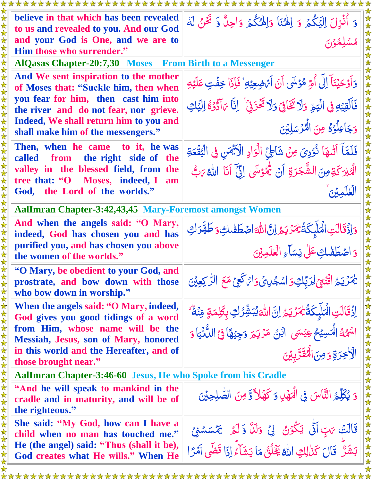| believe in that which has been revealed<br>to us and revealed to you. And our God                        | وَ أُنُزِلَ اِلْيَكُمْ وَ اِلْهُنَا وَالْهُكُمْ وَاحِلٌ وَّ نَحْنُ لَهُ                 |  |
|----------------------------------------------------------------------------------------------------------|-----------------------------------------------------------------------------------------|--|
| and your God is One, and we are to<br>Him those who surrender."                                          | ممشلِمْوْنَ                                                                             |  |
| AlQasas Chapter-20:7,30 Moses – From Birth to a Messenger                                                |                                                                                         |  |
| And We sent inspiration to the mother<br>of Moses that: "Suckle him, then when                           | وَأَوْحَيْنَآ إِلَى أُمِّ مُؤسَى أَنۡ أَيۡضِعِيۡهِ ۚ فَإِذَا خِفۡتِ عَلَيۡهِ            |  |
| you fear for him, then cast him into<br>the river and do not fear, nor grieve.                           | فَالْقِيْهِ فِي الْيَحِّ وَلَا تَخَافِيْ وَلَا تَخْزَنِي ۚ إِنَّا مَالَّذَهُ إِلَيْكِ   |  |
| Indeed, We shall return him to you and<br>shall make him of the messengers."                             | وَجَاعِلُوۡ\$ مِنَ الۡمُرۡسَلِيۡنَ                                                      |  |
| Then, when he came to it, he was<br>from the right side of the<br>called                                 | فَلَمَّا آتُنَّهَا نُؤْدِيَ مِنْ شَاطِئِ الْوَادِ الْأَيْهَنِ فِي الْبُقُعَةِ           |  |
| valley in the blessed field, from the<br>tree that: "O Moses, indeed, I<br>am                            | الْهَبْرَكَةِ مِنَ الشَّجَرَةِ آنَ يُهْوَسَى إِنَّ آنَا اللهُ يَنَّ                     |  |
| God, the Lord of the worlds."                                                                            | الغلمتين                                                                                |  |
| AalImran Chapter-3:42,43,45 Mary-Foremost amongst Women                                                  |                                                                                         |  |
| And when the angels said: "O Mary,<br>indeed, God has chosen you and has                                 | وَاذَقَالَتِ الْمَلَيِكَةُ يُمَرَّيَهُ إِنَّ اللَّهَ اصْطَفْلَتِ وَطَهَّرَكِ            |  |
| purified you, and has chosen you above<br>the women of the worlds."                                      | وَ اصْطَفْلُكِ عَلَىٰ نِسَاءِ الْعٰلَمِينَ                                              |  |
| "O Mary, be obedient to your God, and<br>prostrate, and bow down with those<br>who bow down in worship." | يَمَرْيَحُ اقْنُبْيِّ لِرَبَّكِوَ اسْجُلِيَّ وَائْكَحِيَّ مَعَ الرَّكِعِيْنَ            |  |
| When the angels said: "O Mary, indeed,<br>God gives you good tidings of a word                           | اِذۡقَالَتِ الۡمَلَإِكَةُ يَٰهَرۡ يَمُ اِنَّ اللَّهَ يُبَشِّرُكِ بِكَلِمَةٍ مِّنۡهُمْ ۖ |  |
| from Him, whose name will be the<br><b>Messiah, Jesus, son of Mary, honored</b>                          | اسْمُهُ الْمَسِيۡحُ عِيۡسَى ۚ ابۡنُ مَرۡيَمَ وَجِيۡهَاۚ فِيۡ اللَّهۡنَٰٓيَاۚ وَ         |  |
| in this world and the Hereafter, and of<br>those brought near."                                          | الأخِرَةِ وَمِنَ الْمُقَرَّبِينَ                                                        |  |
| AalImran Chapter-3:46-60 Jesus, He who Spoke from his Cradle                                             |                                                                                         |  |
| "And he will speak to mankind in the<br>cradle and in maturity, and will be of<br>the righteous."        | وَ يُكَلِّمُ النَّاسَ فِي الْهَهْدِ وَكَهْلاً وَّمِنَ الصُّلِحِيْنَ                     |  |
| She said: "My God, how can I have a<br>child when no man has touched me."                                | قَالَتْ يَابِّ اَنَّى يَكُوْنُ ۚ لِيَ وَلَلَّ وَّ لَمْ ۚ يَمۡسَسۡنِيۡ                   |  |
| He (the angel) said: "Thus (shall it be),<br>God creates what He wills." When He                         | بَشَرٌ ۚ قَالَ كَذٰلِكِ اللَّهُ يَخۡلُقُ مَا يَشَآءُ إِذَا قَضَى آمۡرًا                 |  |